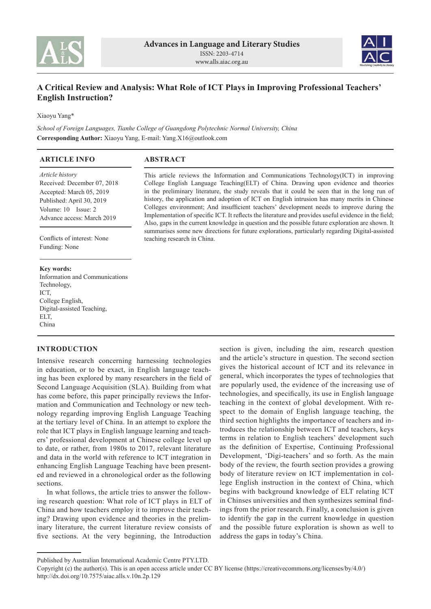



# **A Critical Review and Analysis: What Role of ICT Plays in Improving Professional Teachers' English Instruction?**

Xiaoyu Yang\*

*School of Foreign Languages, Tianhe College of Guangdong Polytechnic Normal University, China* **Corresponding Author:** Xiaoyu Yang, E-mail: Yang.X16@outlook.com

| <b>ARTICLE INFO</b>                                                                                                                                                     | <b>ABSTRACT</b>                                                                                                                                                                                                                                                                                                                                                                                                                                                                                                                                                                                                                                                                           |
|-------------------------------------------------------------------------------------------------------------------------------------------------------------------------|-------------------------------------------------------------------------------------------------------------------------------------------------------------------------------------------------------------------------------------------------------------------------------------------------------------------------------------------------------------------------------------------------------------------------------------------------------------------------------------------------------------------------------------------------------------------------------------------------------------------------------------------------------------------------------------------|
| <i>Article history</i><br>Received: December 07, 2018<br>Accepted: March 05, 2019<br>Published: April 30, 2019<br>Volume: $10$ Issue: $2$<br>Advance access: March 2019 | This article reviews the Information and Communications Technology (ICT) in improving<br>College English Language Teaching (ELT) of China. Drawing upon evidence and theories<br>in the preliminary literature, the study reveals that it could be seen that in the long run of<br>history, the application and adoption of ICT on English intrusion has many merits in Chinese<br>Colleges environment; And insufficient teachers' development needs to improve during the<br>Implementation of specific ICT. It reflects the literature and provides useful evidence in the field;<br>Also, gaps in the current knowledge in question and the possible future exploration are shown. It |
| Conflicts of interest: None<br>Funding: None                                                                                                                            | summarises some new directions for future explorations, particularly regarding Digital-assisted<br>teaching research in China.                                                                                                                                                                                                                                                                                                                                                                                                                                                                                                                                                            |
| Key words:                                                                                                                                                              |                                                                                                                                                                                                                                                                                                                                                                                                                                                                                                                                                                                                                                                                                           |
| Information and Communications                                                                                                                                          |                                                                                                                                                                                                                                                                                                                                                                                                                                                                                                                                                                                                                                                                                           |
| Technology,                                                                                                                                                             |                                                                                                                                                                                                                                                                                                                                                                                                                                                                                                                                                                                                                                                                                           |
| ICT,                                                                                                                                                                    |                                                                                                                                                                                                                                                                                                                                                                                                                                                                                                                                                                                                                                                                                           |
| College English,                                                                                                                                                        |                                                                                                                                                                                                                                                                                                                                                                                                                                                                                                                                                                                                                                                                                           |
| Digital-assisted Teaching,                                                                                                                                              |                                                                                                                                                                                                                                                                                                                                                                                                                                                                                                                                                                                                                                                                                           |
| ELT.                                                                                                                                                                    |                                                                                                                                                                                                                                                                                                                                                                                                                                                                                                                                                                                                                                                                                           |

China

# **INTRODUCTION**

Intensive research concerning harnessing technologies in education, or to be exact, in English language teaching has been explored by many researchers in the field of Second Language Acquisition (SLA). Building from what has come before, this paper principally reviews the Information and Communication and Technology or new technology regarding improving English Language Teaching at the tertiary level of China. In an attempt to explore the role that ICT plays in English language learning and teachers' professional development at Chinese college level up to date, or rather, from 1980s to 2017, relevant literature and data in the world with reference to ICT integration in enhancing English Language Teaching have been presented and reviewed in a chronological order as the following sections.

In what follows, the article tries to answer the following research question: What role of ICT plays in ELT of China and how teachers employ it to improve their teaching? Drawing upon evidence and theories in the preliminary literature, the current literature review consists of five sections. At the very beginning, the Introduction

section is given, including the aim, research question and the article's structure in question. The second section gives the historical account of ICT and its relevance in general, which incorporates the types of technologies that are popularly used, the evidence of the increasing use of technologies, and specifically, its use in English language teaching in the context of global development. With respect to the domain of English language teaching, the third section highlights the importance of teachers and introduces the relationship between ICT and teachers, keys terms in relation to English teachers' development such as the definition of Expertise, Continuing Professional Development, 'Digi-teachers' and so forth. As the main body of the review, the fourth section provides a growing body of literature review on ICT implementation in college English instruction in the context of China, which begins with background knowledge of ELT relating ICT in Chinses universities and then synthesizes seminal findings from the prior research. Finally, a conclusion is given to identify the gap in the current knowledge in question and the possible future exploration is shown as well to address the gaps in today's China.

Published by Australian International Academic Centre PTY.LTD.

Copyright (c) the author(s). This is an open access article under CC BY license (https://creativecommons.org/licenses/by/4.0/) http://dx.doi.org/10.7575/aiac.alls.v.10n.2p.129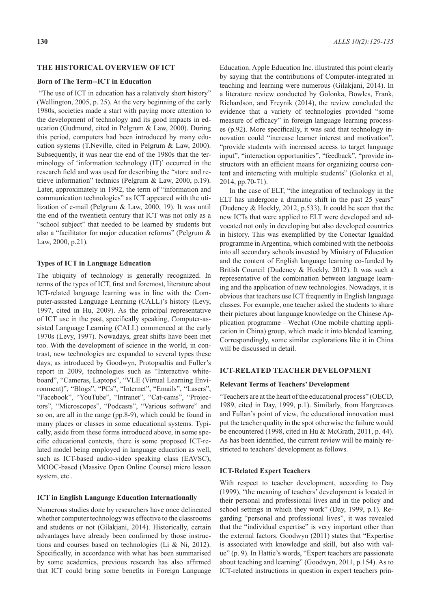### **THE HISTORICAL OVERVIEW OF ICT**

### **Born of The Term--ICT in Education**

 "The use of ICT in education has a relatively short history" (Wellington, 2005, p. 25). At the very beginning of the early 1980s, societies made a start with paying more attention to the development of technology and its good impacts in education (Gudmund, cited in Pelgrum & Law, 2000). During this period, computers had been introduced by many education systems (T.Neville, cited in Pelgrum & Law, 2000). Subsequently, it was near the end of the 1980s that the terminology of 'information technology (IT)' occurred in the research field and was used for describing the "store and retrieve information" technics (Pelgrum & Law, 2000, p.19). Later, approximately in 1992, the term of "information and communication technologies" as ICT appeared with the utilization of e-mail (Pelgrum & Law, 2000, 19). It was until the end of the twentieth century that ICT was not only as a "school subject" that needed to be learned by students but also a "facilitator for major education reforms" (Pelgrum & Law, 2000, p.21).

#### **Types of ICT in Language Education**

The ubiquity of technology is generally recognized. In terms of the types of ICT, first and foremost, literature about ICT-related language learning was in line with the Computer-assisted Language Learning (CALL)'s history (Levy, 1997, cited in Hu, 2009). As the principal representative of ICT use in the past, specifically speaking, Computer-assisted Language Learning (CALL) commenced at the early 1970s (Levy, 1997). Nowadays, great shifts have been met too. With the development of science in the world, in contrast, new technologies are expanded to several types these days, as introduced by Goodwyn, Protopsaltis and Fuller's report in 2009, technologies such as "Interactive whiteboard", "Cameras, Laptops", "VLE (Virtual Learning Environment)", "Blogs", "PCs", "Internet", "Emails", "Lasers", "Facebook", "YouTube", "Intranet", "Cat-cams", "Projectors", "Microscopes", "Podcasts", "Various software" and so on, are all in the range (pp.8-9), which could be found in many places or classes in some educational systems. Typically, aside from these forms introduced above, in some specific educational contexts, there is some proposed ICT-related model being employed in language education as well, such as ICT-based audio-video speaking class (EAVSC), MOOC-based (Massive Open Online Course) micro lesson system, etc..

### **ICT in English Language Education Internationally**

Numerous studies done by researchers have once delineated whether computer technology was effective to the classrooms and students or not (Gilakjani, 2014). Historically, certain advantages have already been confirmed by those instructions and courses based on technologies (Li & Ni, 2012). Specifically, in accordance with what has been summarised by some academics, previous research has also affirmed that ICT could bring some benefits in Foreign Language Education. Apple Education Inc. illustrated this point clearly by saying that the contributions of Computer-integrated in teaching and learning were numerous (Gilakjani, 2014). In a literature review conducted by Golonka, Bowles, Frank, Richardson, and Freynik (2014), the review concluded the evidence that a variety of technologies provided "some measure of efficacy" in foreign language learning processes (p.92). More specifically, it was said that technology innovation could "increase learner interest and motivation", "provide students with increased access to target language input", "interaction opportunities", "feedback", "provide instructors with an efficient means for organizing course content and interacting with multiple students" (Golonka et al, 2014, pp.70-71).

In the case of ELT, "the integration of technology in the ELT has undergone a dramatic shift in the past 25 years" (Dudeney & Hockly, 2012, p.533). It could be seen that the new ICTs that were applied to ELT were developed and advocated not only in developing but also developed countries in history. This was exemplified by the Conectar Igualdad programme in Argentina, which combined with the netbooks into all secondary schools invested by Ministry of Education and the content of English language learning co-funded by British Council (Dudeney & Hockly, 2012). It was such a representative of the combination between language learning and the application of new technologies. Nowadays, it is obvious that teachers use ICT frequently in English language classes. For example, one teacher asked the students to share their pictures about language knowledge on the Chinese Application programme—Wechat (One mobile chatting application in China) group, which made it into blended learning. Correspondingly, some similar explorations like it in China will be discussed in detail.

#### **ICT-RELATED TEACHER DEVELOPMENT**

### **Relevant Terms of Teachers' Development**

"Teachers are at the heart of the educational process" (OECD, 1989, cited in Day, 1999, p.1). Similarly, from Hargreaves and Fullan's point of view, the educational innovation must put the teacher quality in the spot otherwise the failure would be encountered (1998, cited in Hu & McGrath, 2011, p. 44). As has been identified, the current review will be mainly restricted to teachers' development as follows.

### **ICT-Related Expert Teachers**

With respect to teacher development, according to Day (1999), "the meaning of teachers' development is located in their personal and professional lives and in the policy and school settings in which they work" (Day, 1999, p.1). Regarding "personal and professional lives", it was revealed that the "individual expertise" is very important other than the external factors. Goodwyn (2011) states that "Expertise is associated with knowledge and skill, but also with value" (p. 9). In Hattie's words, "Expert teachers are passionate about teaching and learning" (Goodwyn, 2011, p.154). As to ICT-related instructions in question in expert teachers prin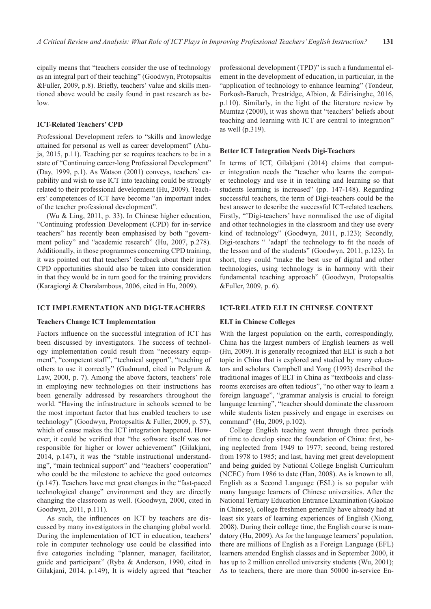cipally means that "teachers consider the use of technology as an integral part of their teaching" (Goodwyn, Protopsaltis &Fuller, 2009, p.8). Briefly, teachers' value and skills mentioned above would be easily found in past research as below.

### **ICT-Related Teachers' CPD**

Professional Development refers to "skills and knowledge attained for personal as well as career development" (Ahuja, 2015, p.11). Teaching per se requires teachers to be in a state of "Continuing career-long Professional Development" (Day, 1999, p.1). As Watson (2001) conveys, teachers' capability and wish to use ICT into teaching could be strongly related to their professional development (Hu, 2009). Teachers' competences of ICT have become "an important index of the teacher professional development".

(Wu & Ling, 2011, p. 33). In Chinese higher education, "Continuing profession Development (CPD) for in-service teachers" has recently been emphasised by both "government policy" and "academic research" (Hu, 2007, p.278). Additionally, in those programmes concerning CPD training, it was pointed out that teachers' feedback about their input CPD opportunities should also be taken into consideration in that they would be in turn good for the training providers (Karagiorgi & Charalambous, 2006, cited in Hu, 2009).

#### **ICT IMPLEMENTATION AND DIGI-TEACHERS**

### **Teachers Change ICT Implementation**

Factors influence on the successful integration of ICT has been discussed by investigators. The success of technology implementation could result from "necessary equipment", "competent staff", "technical support", "teaching of others to use it correctly" (Gudmund, cited in Pelgrum & Law, 2000, p. 7). Among the above factors, teachers' role in employing new technologies on their instructions has been generally addressed by researchers throughout the world. "Having the infrastructure in schools seemed to be the most important factor that has enabled teachers to use technology" (Goodwyn, Protopsaltis & Fuller, 2009, p. 57), which of cause makes the ICT integration happened. However, it could be verified that "the software itself was not responsible for higher or lower achievement" (Gilakjani, 2014, p.147), it was the "stable instructional understanding", "main technical support" and "teachers' cooperation" who could be the milestone to achieve the good outcomes (p.147). Teachers have met great changes in the "fast-paced technological change" environment and they are directly changing the classroom as well. (Goodwyn, 2000, cited in Goodwyn, 2011, p.111).

As such, the influences on ICT by teachers are discussed by many investigators in the changing global world. During the implementation of ICT in education, teachers' role in computer technology use could be classified into five categories including "planner, manager, facilitator, guide and participant" (Ryba & Anderson, 1990, cited in Gilakjani, 2014, p.149), It is widely agreed that "teacher professional development (TPD)" is such a fundamental element in the development of education, in particular, in the "application of technology to enhance learning" (Tondeur, Forkosh-Baruch, Prestridge, Albion, & Edirisinghe, 2016, p.110). Similarly, in the light of the literature review by Mumtaz (2000), it was shown that "teachers' beliefs about teaching and learning with ICT are central to integration" as well (p.319).

#### **Better ICT Integration Needs Digi-Teachers**

In terms of ICT, Gilakjani (2014) claims that computer integration needs the "teacher who learns the computer technology and use it in teaching and learning so that students learning is increased" (pp. 147-148). Regarding successful teachers, the term of Digi-teachers could be the best answer to describe the successful ICT-related teachers. Firstly, "'Digi-teachers' have normalised the use of digital and other technologies in the classroom and they use every kind of technology" (Goodwyn, 2011, p.123); Secondly, Digi-teachers " 'adapt' the technology to fit the needs of the lesson and of the students" (Goodwyn, 2011, p.123). In short, they could "make the best use of digital and other technologies, using technology is in harmony with their fundamental teaching approach" (Goodwyn, Protopsaltis &Fuller, 2009, p. 6).

### **ICT-RELATED ELT IN CHINESE CONTEXT**

#### **ELT in Chinese Colleges**

With the largest population on the earth, correspondingly, China has the largest numbers of English learners as well (Hu, 2009). It is generally recognized that ELT is such a hot topic in China that is explored and studied by many educators and scholars. Campbell and Yong (1993) described the traditional images of ELT in China as "textbooks and classrooms exercises are often tedious", "no other way to learn a foreign language", "grammar analysis is crucial to foreign language learning", "teacher should dominate the classroom while students listen passively and engage in exercises on command" (Hu, 2009, p.102).

College English teaching went through three periods of time to develop since the foundation of China: first, being neglected from 1949 to 1977; second, being restored from 1978 to 1985; and last, having met great development and being guided by National College English Curriculum (NCEC) from 1986 to date (Han, 2008). As is known to all, English as a Second Language (ESL) is so popular with many language learners of Chinese universities. After the National Tertiary Education Entrance Examination (Gaokao in Chinese), college freshmen generally have already had at least six years of learning experiences of English (Xiong, 2008). During their college time, the English course is mandatory (Hu, 2009). As for the language learners' population, there are millions of English as a Foreign Language (EFL) learners attended English classes and in September 2000, it has up to 2 million enrolled university students (Wu, 2001); As to teachers, there are more than 50000 in-service En-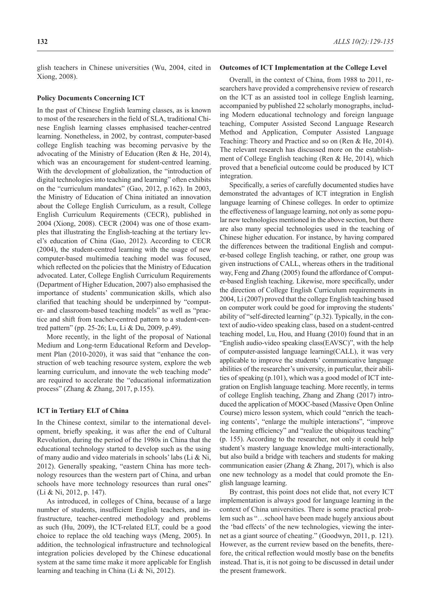glish teachers in Chinese universities (Wu, 2004, cited in Xiong, 2008).

#### **Policy Documents Concerning ICT**

In the past of Chinese English learning classes, as is known to most of the researchers in the field of SLA, traditional Chinese English learning classes emphasised teacher-centred learning. Nonetheless, in 2002, by contrast, computer-based college English teaching was becoming pervasive by the advocating of the Ministry of Education (Ren & He, 2014), which was an encouragement for student-centred learning. With the development of globalization, the "introduction of digital technologies into teaching and learning" often exhibits on the "curriculum mandates" (Gao, 2012, p.162). In 2003, the Ministry of Education of China initiated an innovation about the College English Curriculum, as a result, College English Curriculum Requirements (CECR), published in 2004 (Xiong, 2008). CECR (2004) was one of those examples that illustrating the English-teaching at the tertiary level's education of China (Gao, 2012). According to CECR (2004), the student-centred learning with the usage of new computer-based multimedia teaching model was focused, which reflected on the policies that the Ministry of Education advocated. Later, College English Curriculum Requirements (Department of Higher Education, 2007) also emphasised the importance of students' communication skills, which also clarified that teaching should be underpinned by "computer- and classroom-based teaching models" as well as "practice and shift from teacher-centred pattern to a student-centred pattern" (pp. 25-26; Lu, Li & Du, 2009, p.49).

More recently, in the light of the proposal of National Medium and Long-term Educational Reform and Development Plan (2010-2020), it was said that "enhance the construction of web teaching resource system, explore the web learning curriculum, and innovate the web teaching mode" are required to accelerate the "educational informatization process" (Zhang & Zhang, 2017, p.155).

#### **ICT in Tertiary ELT of China**

In the Chinese context, similar to the international development, briefly speaking, it was after the end of Cultural Revolution, during the period of the 1980s in China that the educational technology started to develop such as the using of many audio and video materials in schools' labs (Li & Ni, 2012). Generally speaking, "eastern China has more technology resources than the western part of China, and urban schools have more technology resources than rural ones" (Li & Ni, 2012, p. 147).

As introduced, in colleges of China, because of a large number of students, insufficient English teachers, and infrastructure, teacher-centred methodology and problems as such (Hu, 2009), the ICT-related ELT, could be a good choice to replace the old teaching ways (Meng, 2005). In addition, the technological infrastructure and technological integration policies developed by the Chinese educational system at the same time make it more applicable for English learning and teaching in China (Li & Ni, 2012).

### **Outcomes of ICT Implementation at the College Level**

Overall, in the context of China, from 1988 to 2011, researchers have provided a comprehensive review of research on the ICT as an assisted tool in college English learning, accompanied by published 22 scholarly monographs, including Modern educational technology and foreign language teaching, Computer Assisted Second Language Research Method and Application, Computer Assisted Language Teaching: Theory and Practice and so on (Ren & He, 2014). The relevant research has discussed more on the establishment of College English teaching (Ren & He, 2014), which proved that a beneficial outcome could be produced by ICT integration.

Specifically, a series of carefully documented studies have demonstrated the advantages of ICT integration in English language learning of Chinese colleges. In order to optimize the effectiveness of language learning, not only as some popular new technologies mentioned in the above section, but there are also many special technologies used in the teaching of Chinese higher education. For instance, by having compared the differences between the traditional English and computer-based college English teaching, or rather, one group was given instructions of CALL, whereas others in the traditional way, Feng and Zhang (2005) found the affordance of Computer-based English teaching. Likewise, more specifically, under the direction of College English Curriculum requirements in 2004, Li (2007) proved that the college English teaching based on computer work could be good for improving the students' ability of "self-directed learning" (p.32). Typically, in the context of audio-video speaking class, based on a student-centred teaching model, Lu, Hou, and Huang (2010) found that in an "English audio-video speaking class(EAVSC)", with the help of computer-assisted language learning(CALL), it was very applicable to improve the students' communicative language abilities of the researcher's university, in particular, their abilities of speaking (p.101), which was a good model of ICT integration on English language teaching. More recently, in terms of college English teaching, Zhang and Zhang (2017) introduced the application of MOOC-based (Massive Open Online Course) micro lesson system, which could "enrich the teaching contents', "enlarge the multiple interactions", "improve the learning efficiency" and "realize the ubiquitous teaching" (p. 155). According to the researcher, not only it could help student's mastery language knowledge multi-interactionally, but also build a bridge with teachers and students for making communication easier (Zhang & Zhang, 2017), which is also one new technology as a model that could promote the English language learning.

By contrast, this point does not elide that, not every ICT implementation is always good for language learning in the context of China universities. There is some practical problem such as "…school have been made hugely anxious about the 'bad effects' of the new technologies, viewing the internet as a giant source of cheating." (Goodwyn, 2011, p. 121). However, as the current review based on the benefits, therefore, the critical reflection would mostly base on the benefits instead. That is, it is not going to be discussed in detail under the present framework.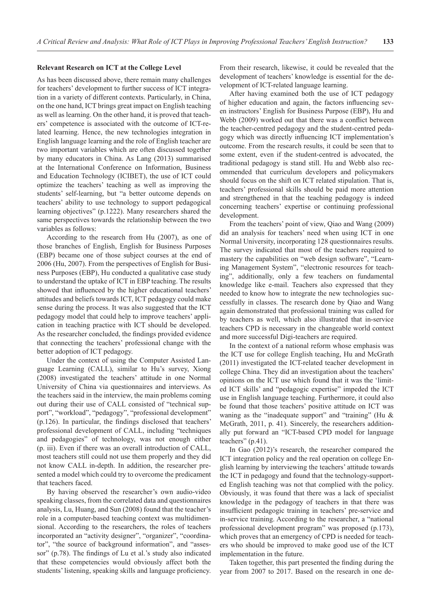### **Relevant Research on ICT at the College Level**

As has been discussed above, there remain many challenges for teachers' development to further success of ICT integration in a variety of different contexts. Particularly, in China, on the one hand, ICT brings great impact on English teaching as well as learning. On the other hand, it is proved that teachers' competence is associated with the outcome of ICT-related learning. Hence, the new technologies integration in English language learning and the role of English teacher are two important variables which are often discussed together by many educators in China. As Lang (2013) summarised at the International Conference on Information, Business and Education Technology (ICIBET), the use of ICT could optimize the teachers' teaching as well as improving the students' self-learning, but "a better outcome depends on teachers' ability to use technology to support pedagogical learning objectives" (p.1222). Many researchers shared the same perspectives towards the relationship between the two variables as follows:

According to the research from Hu (2007), as one of those branches of English, English for Business Purposes (EBP) became one of those subject courses at the end of 2006 (Hu, 2007). From the perspectives of English for Business Purposes (EBP), Hu conducted a qualitative case study to understand the uptake of ICT in EBP teaching. The results showed that influenced by the higher educational teachers' attitudes and beliefs towards ICT, ICT pedagogy could make sense during the process. It was also suggested that the ICT pedagogy model that could help to improve teachers' application in teaching practice with ICT should be developed. As the researcher concluded, the findings provided evidence that connecting the teachers' professional change with the better adoption of ICT pedagogy.

Under the context of using the Computer Assisted Language Learning (CALL), similar to Hu's survey, Xiong (2008) investigated the teachers' attitude in one Normal University of China via questionnaires and interviews. As the teachers said in the interview, the main problems coming out during their use of CALL consisted of "technical support", "workload", "pedagogy", "professional development" (p.126). In particular, the findings disclosed that teachers' professional development of CALL, including "techniques and pedagogies" of technology, was not enough either (p. iii). Even if there was an overall introduction of CALL, most teachers still could not use them properly and they did not know CALL in-depth. In addition, the researcher presented a model which could try to overcome the predicament that teachers faced.

By having observed the researcher's own audio-video speaking classes, from the correlated data and questionnaires analysis, Lu, Huang, and Sun (2008) found that the teacher's role in a computer-based teaching context was multidimensional. According to the researchers, the roles of teachers incorporated an "activity designer", "organizer", "coordinator", "the source of background information", and "assessor" (p.78). The findings of Lu et al.'s study also indicated that these competencies would obviously affect both the students' listening, speaking skills and language proficiency. From their research, likewise, it could be revealed that the development of teachers' knowledge is essential for the development of ICT-related language learning.

After having examined both the use of ICT pedagogy of higher education and again, the factors influencing seven instructors' English for Business Purpose (EBP), Hu and Webb (2009) worked out that there was a conflict between the teacher-centred pedagogy and the student-centred pedagogy which was directly influencing ICT implementation's outcome. From the research results, it could be seen that to some extent, even if the student-centred is advocated, the traditional pedagogy is stand still. Hu and Webb also recommended that curriculum developers and policymakers should focus on the shift on ICT related stipulation. That is, teachers' professional skills should be paid more attention and strengthened in that the teaching pedagogy is indeed concerning teachers' expertise or continuing professional development.

From the teachers' point of view, Qiao and Wang (2009) did an analysis for teachers' need when using ICT in one Normal University, incorporating 128 questionnaires results. The survey indicated that most of the teachers required to mastery the capabilities on "web design software", "Learning Management System", "electronic resources for teaching", additionally, only a few teachers on fundamental knowledge like e-mail. Teachers also expressed that they needed to know how to integrate the new technologies successfully in classes. The research done by Qiao and Wang again demonstrated that professional training was called for by teachers as well, which also illustrated that in-service teachers CPD is necessary in the changeable world context and more successful Digi-teachers are required.

In the context of a national reform whose emphasis was the ICT use for college English teaching, Hu and McGrath (2011) investigated the ICT-related teacher development in college China. They did an investigation about the teachers' opinions on the ICT use which found that it was the 'limited ICT skills' and "pedagogic expertise" impeded the ICT use in English language teaching. Furthermore, it could also be found that those teachers' positive attitude on ICT was waning as the "inadequate support" and "training" (Hu & McGrath, 2011, p. 41). Sincerely, the researchers additionally put forward an "ICT-based CPD model for language teachers" (p.41).

In Gao (2012)'s research, the researcher compared the ICT integration policy and the real operation on college English learning by interviewing the teachers' attitude towards the ICT in pedagogy and found that the technology-supported English teaching was not that complied with the policy. Obviously, it was found that there was a lack of specialist knowledge in the pedagogy of teachers in that there was insufficient pedagogic training in teachers' pre-service and in-service training. According to the researcher, a "national professional development program" was proposed (p.173), which proves that an emergency of CPD is needed for teachers who should be improved to make good use of the ICT implementation in the future.

Taken together, this part presented the finding during the year from 2007 to 2017. Based on the research in one de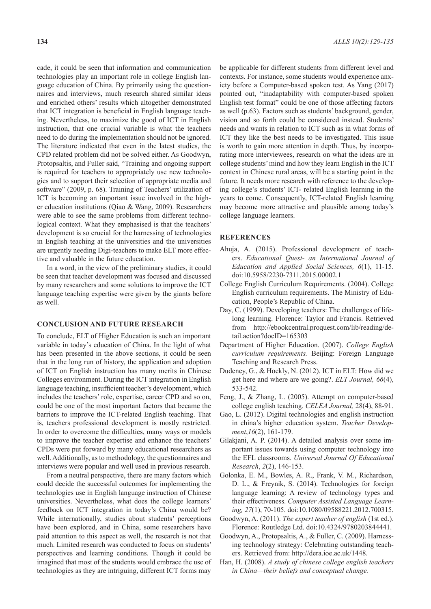cade, it could be seen that information and communication technologies play an important role in college English language education of China. By primarily using the questionnaires and interviews, much research shared similar ideas and enriched others' results which altogether demonstrated that ICT integration is beneficial in English language teaching. Nevertheless, to maximize the good of ICT in English instruction, that one crucial variable is what the teachers need to do during the implementation should not be ignored. The literature indicated that even in the latest studies, the CPD related problem did not be solved either. As Goodwyn, Protopsaltis, and Fuller said, "Training and ongoing support is required for teachers to appropriately use new technologies and to support their selection of appropriate media and software" (2009, p. 68). Training of Teachers' utilization of ICT is becoming an important issue involved in the higher education institutions (Qiao & Wang, 2009). Researchers were able to see the same problems from different technological context. What they emphasised is that the teachers' development is so crucial for the harnessing of technologies in English teaching at the universities and the universities are urgently needing Digi-teachers to make ELT more effective and valuable in the future education.

In a word, in the view of the preliminary studies, it could be seen that teacher development was focused and discussed by many researchers and some solutions to improve the ICT language teaching expertise were given by the giants before as well.

# **CONCLUSION AND FUTURE RESEARCH**

To conclude, ELT of Higher Education is such an important variable in today's education of China. In the light of what has been presented in the above sections, it could be seen that in the long run of history, the application and adoption of ICT on English instruction has many merits in Chinese Colleges environment. During the ICT integration in English language teaching, insufficient teacher's development, which includes the teachers' role, expertise, career CPD and so on, could be one of the most important factors that became the barriers to improve the ICT-related English teaching. That is, teachers professional development is mostly restricted. In order to overcome the difficulties, many ways or models to improve the teacher expertise and enhance the teachers' CPDs were put forward by many educational researchers as well. Additionally, as to methodology, the questionnaires and interviews were popular and well used in previous research.

From a neutral perspective, there are many factors which could decide the successful outcomes for implementing the technologies use in English language instruction of Chinese universities. Nevertheless, what does the college learners' feedback on ICT integration in today's China would be? While internationally, studies about students' perceptions have been explored, and in China, some researchers have paid attention to this aspect as well, the research is not that much. Limited research was conducted to focus on students' perspectives and learning conditions. Though it could be imagined that most of the students would embrace the use of technologies as they are intriguing, different ICT forms may

be applicable for different students from different level and contexts. For instance, some students would experience anxiety before a Computer-based spoken test. As Yang (2017) pointed out, "inadaptability with computer-based spoken English test format" could be one of those affecting factors as well (p.63). Factors such as students' background, gender, vision and so forth could be considered instead. Students' needs and wants in relation to ICT such as in what forms of ICT they like the best needs to be investigated. This issue is worth to gain more attention in depth. Thus, by incorporating more interviewees, research on what the ideas are in college students' mind and how they learn English in the ICT context in Chinese rural areas, will be a starting point in the future. It needs more research with reference to the developing college's students' ICT- related English learning in the years to come. Consequently, ICT-related English learning may become more attractive and plausible among today's college language learners.

### **REFERENCES**

- Ahuja, A. (2015). Professional development of teachers. *Educational Quest- an International Journal of Education and Applied Social Sciences, 6*(1), 11-15. doi:10.5958/2230-7311.2015.00002.1
- College English Curriculum Requirements. (2004). College English curriculum requirements. The Ministry of Education, People's Republic of China.
- Day, C. (1999). Developing teachers: The challenges of lifelong learning. Florence: Taylor and Francis. Retrieved from http://ebookcentral.proquest.com/lib/reading/detail.action?docID=165303
- Department of Higher Education. (2007). *College English curriculum requirements.* Beijing: Foreign Language Teaching and Research Press.
- Dudeney, G., & Hockly, N. (2012). ICT in ELT: How did we get here and where are we going?. *ELT Journal, 66*(4), 533-542.
- Feng, J., & Zhang, L. (2005). Attempt on computer-based college english teaching. *CELEA Journal,* 28(4), 88-91.
- Gao, L. (2012). Digital technologies and english instruction in china's higher education system. *Teacher Development*,*16*(2), 161-179.
- Gilakjani, A. P. (2014). A detailed analysis over some important issues towards using computer technology into the EFL classrooms. *Universal Journal Of Educational Research*, *2*(2), 146-153.
- Golonka, E. M., Bowles, A. R., Frank, V. M., Richardson, D. L., & Freynik, S. (2014). Technologies for foreign language learning: A review of technology types and their effectiveness. *Computer Assisted Language Learning, 27*(1), 70-105. doi:10.1080/09588221.2012.700315.
- Goodwyn, A. (2011). *The expert teacher of english* (1st ed.). Florence: Routledge Ltd. doi:10.4324/9780203844441.
- Goodwyn, A., Protopsaltis, A., & Fuller, C. (2009). Harnessing technology strategy: Celebrating outstanding teachers. Retrieved from: http://dera.ioe.ac.uk/1448.
- Han, H. (2008). *A study of chinese college english teachers in China—their beliefs and conceptual change.*